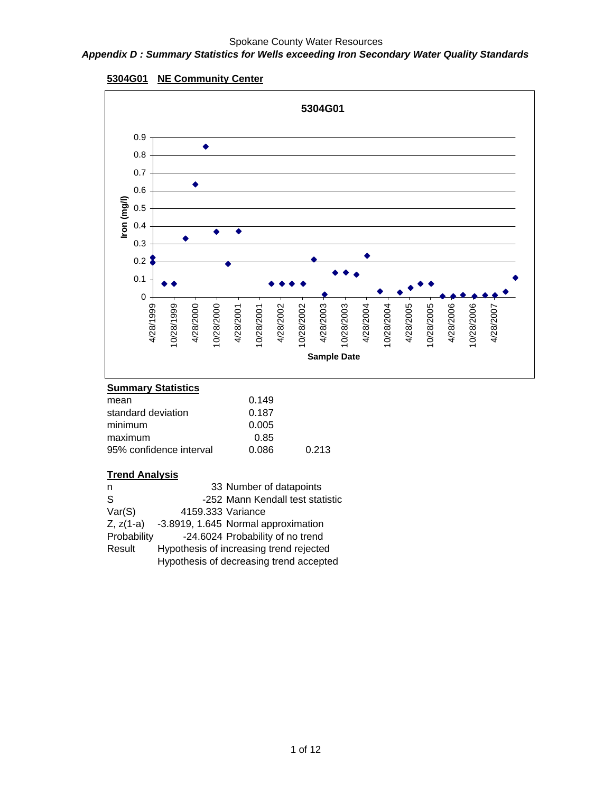#### *Appendix D : Summary Statistics for Wells exceeding Iron Secondary Water Quality Standards*





### **Summary Statistics**

| mean                    | 0.149 |       |
|-------------------------|-------|-------|
| standard deviation      | 0.187 |       |
| minimum                 | 0.005 |       |
| maximum                 | 0.85  |       |
| 95% confidence interval | 0.086 | 0.213 |
|                         |       |       |

| n              | 33 Number of datapoints                 |  |
|----------------|-----------------------------------------|--|
| S              | -252 Mann Kendall test statistic        |  |
| Var(S)         | 4159.333 Variance                       |  |
| $Z$ , $z(1-a)$ | -3.8919, 1.645 Normal approximation     |  |
| Probability    | -24.6024 Probability of no trend        |  |
| Result         | Hypothesis of increasing trend rejected |  |
|                | Hypothesis of decreasing trend accepted |  |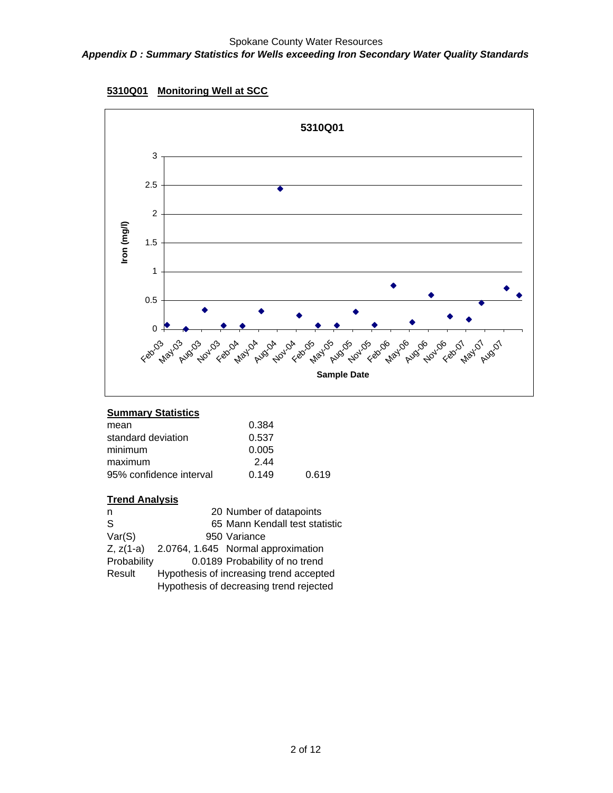



| 0.384          |
|----------------|
| 0.537          |
| 0.005          |
| 244            |
| 0.619<br>0.149 |
|                |

| n            | 20 Number of datapoints                 |
|--------------|-----------------------------------------|
| <sub>S</sub> | 65 Mann Kendall test statistic          |
| Var(S)       | 950 Variance                            |
| $Z, z(1-a)$  | 2.0764, 1.645 Normal approximation      |
| Probability  | 0.0189 Probability of no trend          |
| Result       | Hypothesis of increasing trend accepted |
|              | Hypothesis of decreasing trend rejected |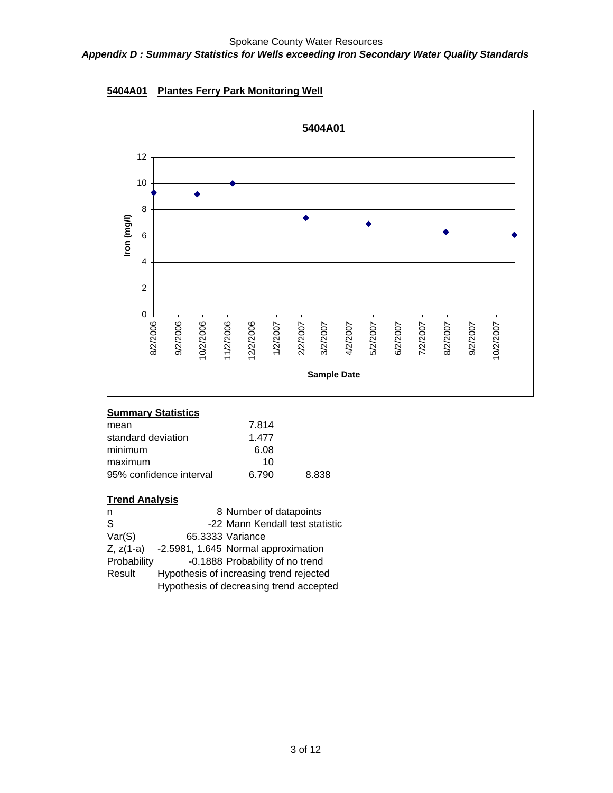

**5404A01 Plantes Ferry Park Monitoring Well**

| 7.814 |       |
|-------|-------|
| 1.477 |       |
| 6.08  |       |
| 10    |       |
| 6.790 | 8.838 |
|       |       |

| n              | 8 Number of datapoints                  |
|----------------|-----------------------------------------|
| S              | -22 Mann Kendall test statistic         |
| Var(S)         | 65.3333 Variance                        |
| $Z$ , $z(1-a)$ | -2.5981, 1.645 Normal approximation     |
| Probability    | -0.1888 Probability of no trend         |
| Result         | Hypothesis of increasing trend rejected |
|                | Hypothesis of decreasing trend accepted |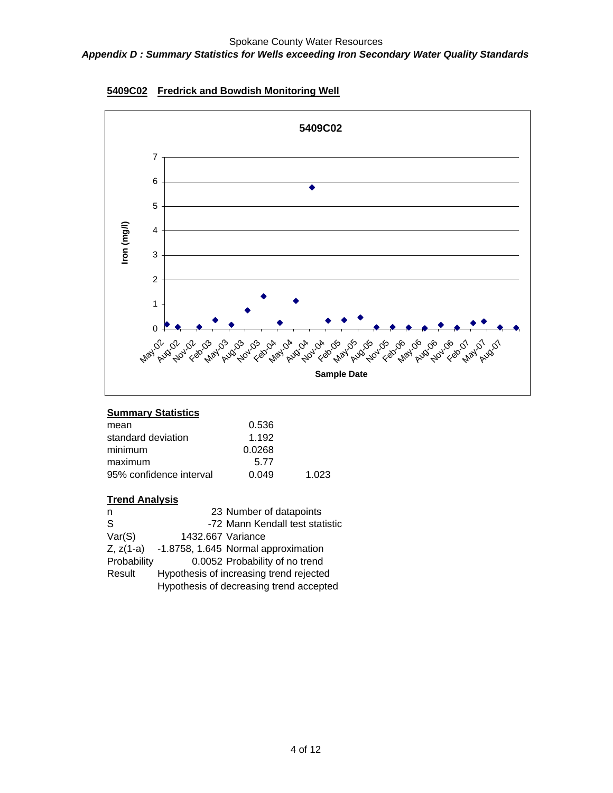

**5409C02 Fredrick and Bowdish Monitoring Well**

| 1.023 |
|-------|
|       |

| n           | 23 Number of datapoints                 |  |
|-------------|-----------------------------------------|--|
| S           | -72 Mann Kendall test statistic         |  |
| Var(S)      | 1432.667 Variance                       |  |
| $Z, z(1-a)$ | -1.8758, 1.645 Normal approximation     |  |
| Probability | 0.0052 Probability of no trend          |  |
| Result      | Hypothesis of increasing trend rejected |  |
|             | Hypothesis of decreasing trend accepted |  |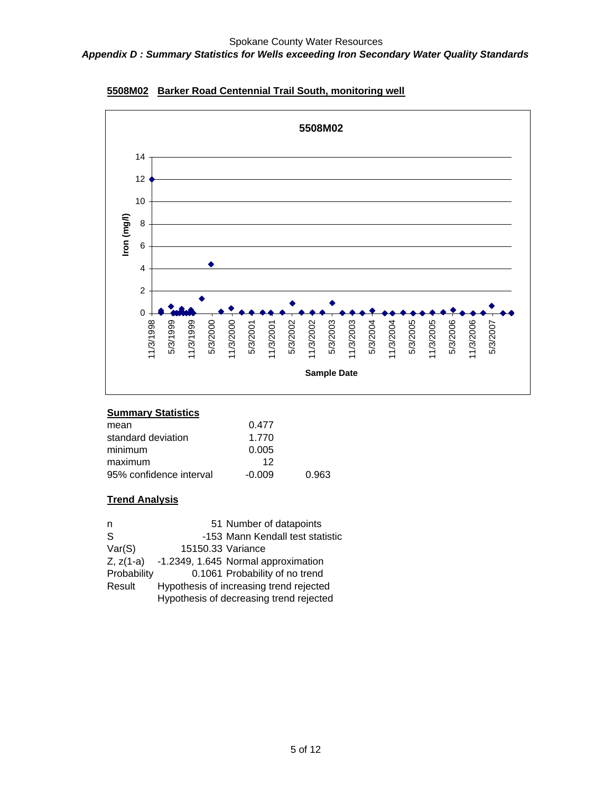

**5508M02 Barker Road Centennial Trail South, monitoring well**

| mean                    | 0.477    |       |
|-------------------------|----------|-------|
| standard deviation      | 1.770    |       |
| minimum                 | 0.005    |       |
| maximum                 | 12       |       |
| 95% confidence interval | $-0.009$ | 0.963 |

| n            |                   | 51 Number of datapoints                 |
|--------------|-------------------|-----------------------------------------|
| <sub>S</sub> |                   | -153 Mann Kendall test statistic        |
| Var(S)       | 15150.33 Variance |                                         |
| $Z, z(1-a)$  |                   | -1.2349, 1.645 Normal approximation     |
| Probability  |                   | 0.1061 Probability of no trend          |
| Result       |                   | Hypothesis of increasing trend rejected |
|              |                   | Hypothesis of decreasing trend rejected |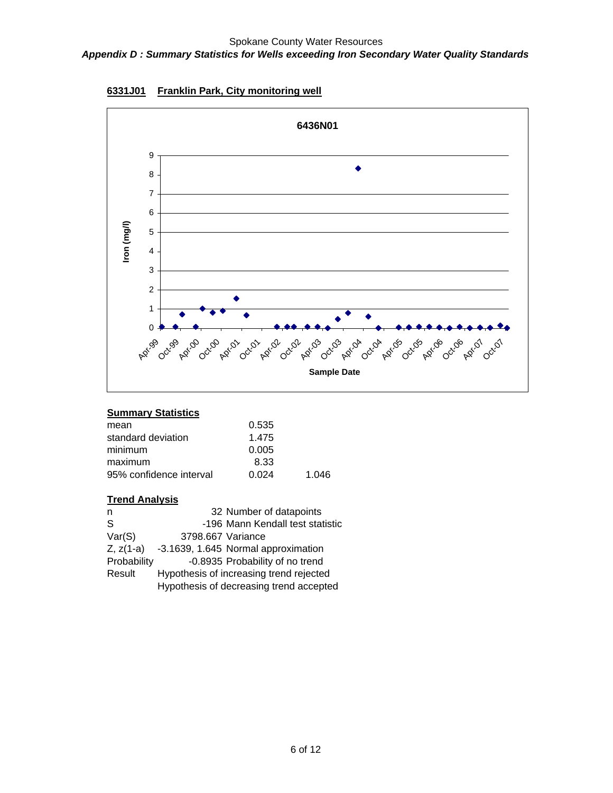

**6331J01 Franklin Park, City monitoring well**

| mean                    | 0.535 |       |
|-------------------------|-------|-------|
| standard deviation      | 1.475 |       |
| minimum                 | 0.005 |       |
| maximum                 | 8.33  |       |
| 95% confidence interval | 0.024 | 1.046 |
|                         |       |       |

| n              |                   | 32 Number of datapoints                 |
|----------------|-------------------|-----------------------------------------|
| S              |                   | -196 Mann Kendall test statistic        |
| Var(S)         | 3798.667 Variance |                                         |
| $Z$ , $z(1-a)$ |                   | -3.1639, 1.645 Normal approximation     |
| Probability    |                   | -0.8935 Probability of no trend         |
| Result         |                   | Hypothesis of increasing trend rejected |
|                |                   | Hypothesis of decreasing trend accepted |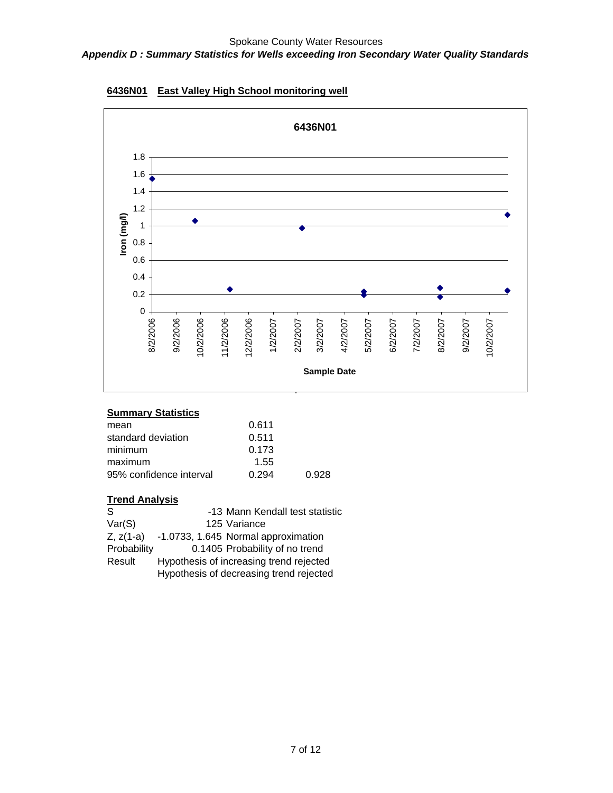

### **6436N01 East Valley High School monitoring well**

# **Summary Statistics**

| mean                    | 0.611 |       |
|-------------------------|-------|-------|
| standard deviation      | 0.511 |       |
| minimum                 | 0.173 |       |
| maximum                 | 1.55  |       |
| 95% confidence interval | 0.294 | 0.928 |
|                         |       |       |

| -S          | -13 Mann Kendall test statistic                 |
|-------------|-------------------------------------------------|
| Var(S)      | 125 Variance                                    |
|             | $Z, z(1-a)$ -1.0733, 1.645 Normal approximation |
| Probability | 0.1405 Probability of no trend                  |
| Result      | Hypothesis of increasing trend rejected         |
|             | Hypothesis of decreasing trend rejected         |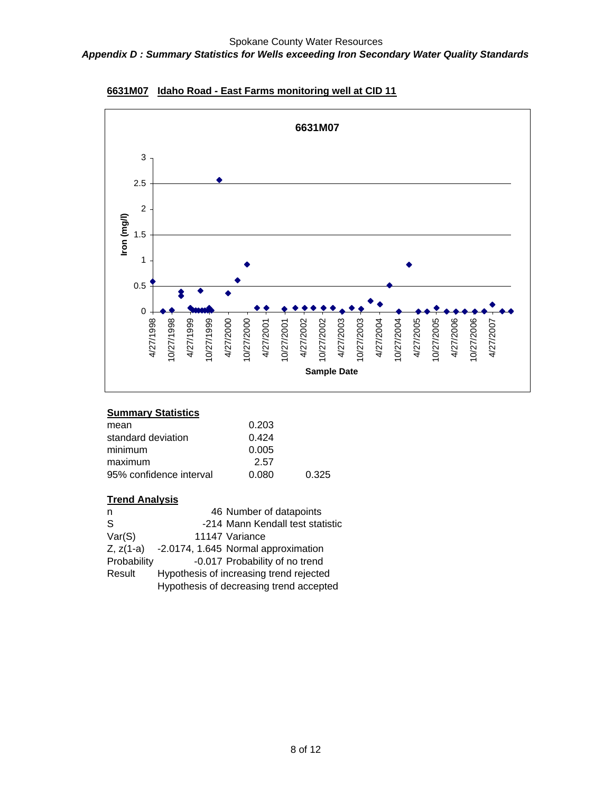

**6631M07 Idaho Road - East Farms monitoring well at CID 11**

| mean                    | 0.203 |       |
|-------------------------|-------|-------|
| standard deviation      | 0.424 |       |
| minimum                 | 0.005 |       |
| maximum                 | 2.57  |       |
| 95% confidence interval | 0.080 | 0.325 |
|                         |       |       |

| n            | 46 Number of datapoints                 |  |
|--------------|-----------------------------------------|--|
| <sub>S</sub> | -214 Mann Kendall test statistic        |  |
| Var(S)       | 11147 Variance                          |  |
| $Z, z(1-a)$  | -2.0174, 1.645 Normal approximation     |  |
| Probability  | -0.017 Probability of no trend          |  |
| Result       | Hypothesis of increasing trend rejected |  |
|              | Hypothesis of decreasing trend accepted |  |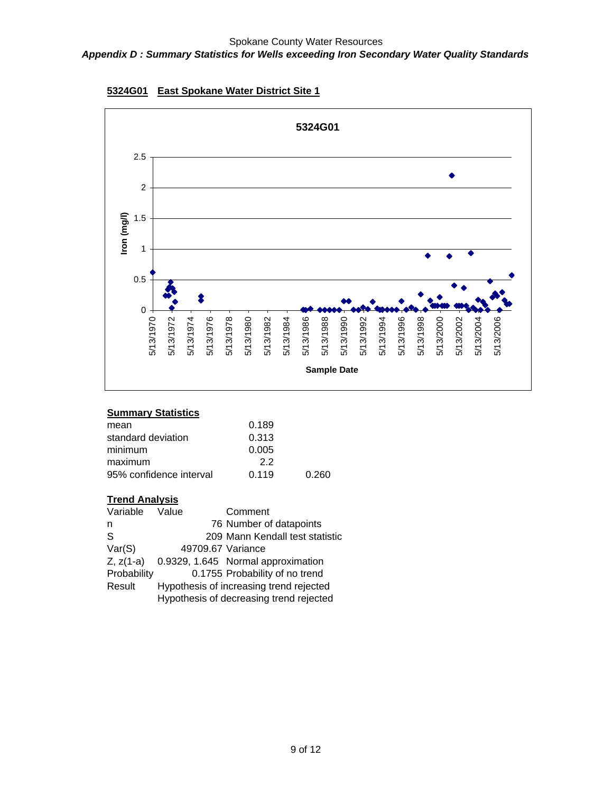

### **5324G01 East Spokane Water District Site 1**

#### **Summary Statistics**

| 0.189 |       |
|-------|-------|
| 0.313 |       |
| 0.005 |       |
| 22    |       |
| 0.119 | 0.260 |
|       |       |

| Variable       | Value             | Comment                                 |
|----------------|-------------------|-----------------------------------------|
| n              |                   | 76 Number of datapoints                 |
| <sub>S</sub>   |                   | 209 Mann Kendall test statistic         |
| Var(S)         | 49709.67 Variance |                                         |
| $Z$ , $z(1-a)$ |                   | 0.9329, 1.645 Normal approximation      |
| Probability    |                   | 0.1755 Probability of no trend          |
| Result         |                   | Hypothesis of increasing trend rejected |
|                |                   | Hypothesis of decreasing trend rejected |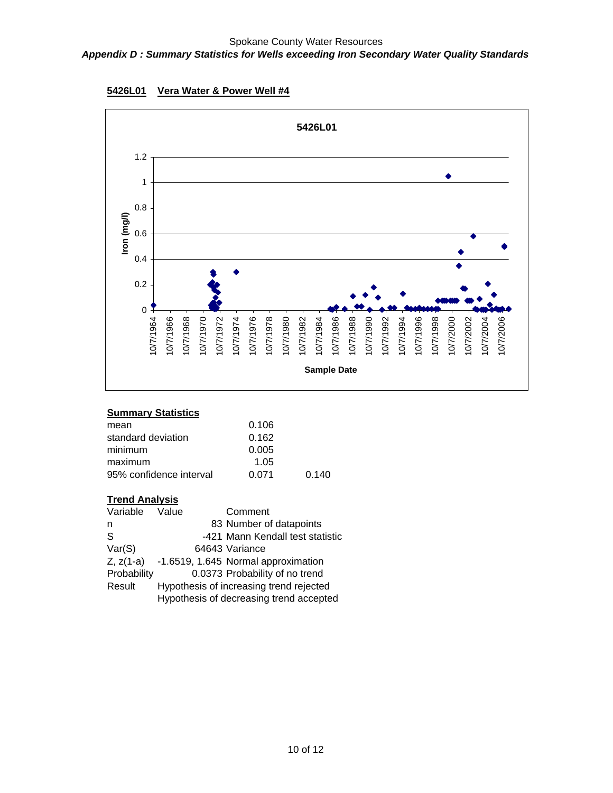

### **5426L01 Vera Water & Power Well #4**

#### **Summary Statistics**

| mean                    | 0.106 |       |
|-------------------------|-------|-------|
| standard deviation      | 0.162 |       |
| minimum                 | 0.005 |       |
| maximum                 | 1.05  |       |
| 95% confidence interval | 0.071 | 0.140 |

| Variable     | Value | Comment                                 |
|--------------|-------|-----------------------------------------|
| n            |       | 83 Number of datapoints                 |
| <sub>S</sub> |       | -421 Mann Kendall test statistic        |
| Var(S)       |       | 64643 Variance                          |
| $Z, z(1-a)$  |       | -1.6519, 1.645 Normal approximation     |
| Probability  |       | 0.0373 Probability of no trend          |
| Result       |       | Hypothesis of increasing trend rejected |
|              |       | Hypothesis of decreasing trend accepted |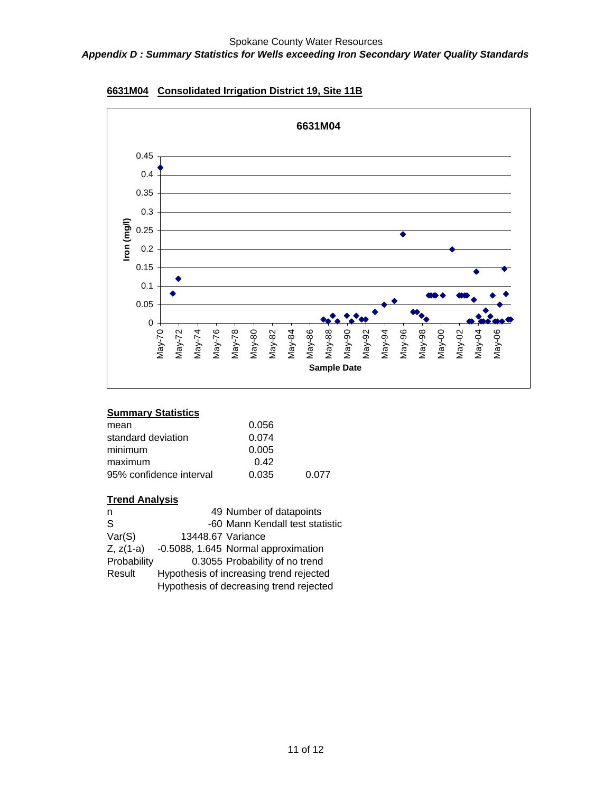# *Appendix D : Summary Statistics for Wells exceeding Iron Secondary Water Quality Standards*



**6631M04 Consolidated Irrigation District 19, Site 11B**

# **Summary Statistics**

| 0.056 |       |
|-------|-------|
| 0.074 |       |
| 0.005 |       |
| 0.42  |       |
| 0.035 | 0.077 |
|       |       |

| n           |                   | 49 Number of datapoints                 |
|-------------|-------------------|-----------------------------------------|
| S           |                   | -60 Mann Kendall test statistic         |
| Var(S)      | 13448.67 Variance |                                         |
| $Z, z(1-a)$ |                   | -0.5088, 1.645 Normal approximation     |
| Probability |                   | 0.3055 Probability of no trend          |
| Result      |                   | Hypothesis of increasing trend rejected |
|             |                   | Hypothesis of decreasing trend rejected |